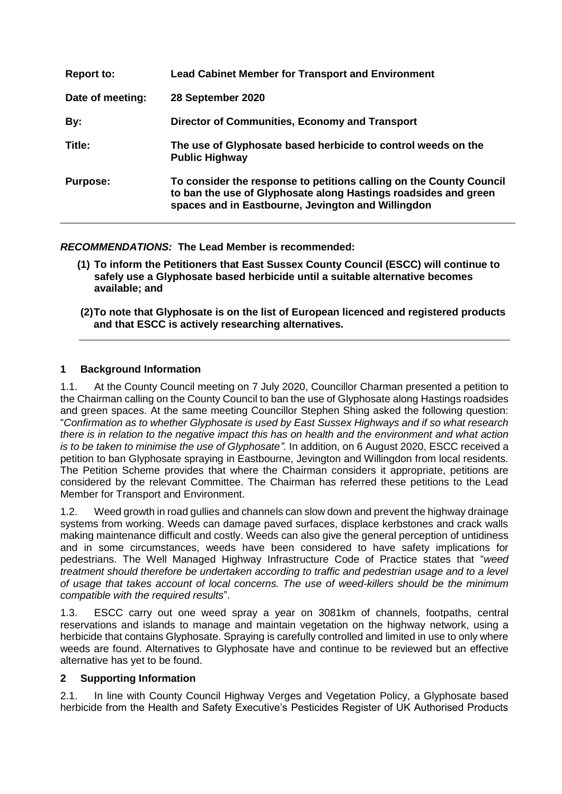| <b>Report to:</b> | <b>Lead Cabinet Member for Transport and Environment</b>                                                                                                                                     |
|-------------------|----------------------------------------------------------------------------------------------------------------------------------------------------------------------------------------------|
| Date of meeting:  | 28 September 2020                                                                                                                                                                            |
| By:               | Director of Communities, Economy and Transport                                                                                                                                               |
| Title:            | The use of Glyphosate based herbicide to control weeds on the<br><b>Public Highway</b>                                                                                                       |
| <b>Purpose:</b>   | To consider the response to petitions calling on the County Council<br>to ban the use of Glyphosate along Hastings roadsides and green<br>spaces and in Eastbourne, Jevington and Willingdon |

*RECOMMENDATIONS:* **The Lead Member is recommended:**

- **(1) To inform the Petitioners that East Sussex County Council (ESCC) will continue to safely use a Glyphosate based herbicide until a suitable alternative becomes available; and**
- **(2)To note that Glyphosate is on the list of European licenced and registered products and that ESCC is actively researching alternatives.**

## **1 Background Information**

1.1. At the County Council meeting on 7 July 2020, Councillor Charman presented a petition to the Chairman calling on the County Council to ban the use of Glyphosate along Hastings roadsides and green spaces. At the same meeting Councillor Stephen Shing asked the following question: "*Confirmation as to whether Glyphosate is used by East Sussex Highways and if so what research there is in relation to the negative impact this has on health and the environment and what action is to be taken to minimise the use of Glyphosate".* In addition, on 6 August 2020, ESCC received a petition to ban Glyphosate spraying in Eastbourne, Jevington and Willingdon from local residents. The Petition Scheme provides that where the Chairman considers it appropriate, petitions are considered by the relevant Committee. The Chairman has referred these petitions to the Lead Member for Transport and Environment.

1.2. Weed growth in road gullies and channels can slow down and prevent the highway drainage systems from working. Weeds can damage paved surfaces, displace kerbstones and crack walls making maintenance difficult and costly. Weeds can also give the general perception of untidiness and in some circumstances, weeds have been considered to have safety implications for pedestrians. The Well Managed Highway Infrastructure Code of Practice states that "*weed treatment should therefore be undertaken according to traffic and pedestrian usage and to a level of usage that takes account of local concerns. The use of weed-killers should be the minimum compatible with the required results*".

1.3. ESCC carry out one weed spray a year on 3081km of channels, footpaths, central reservations and islands to manage and maintain vegetation on the highway network, using a herbicide that contains Glyphosate. Spraying is carefully controlled and limited in use to only where weeds are found. Alternatives to Glyphosate have and continue to be reviewed but an effective alternative has yet to be found.

#### **2 Supporting Information**

2.1. In line with County Council Highway Verges and Vegetation Policy, a Glyphosate based herbicide from the Health and Safety Executive's Pesticides Register of UK Authorised Products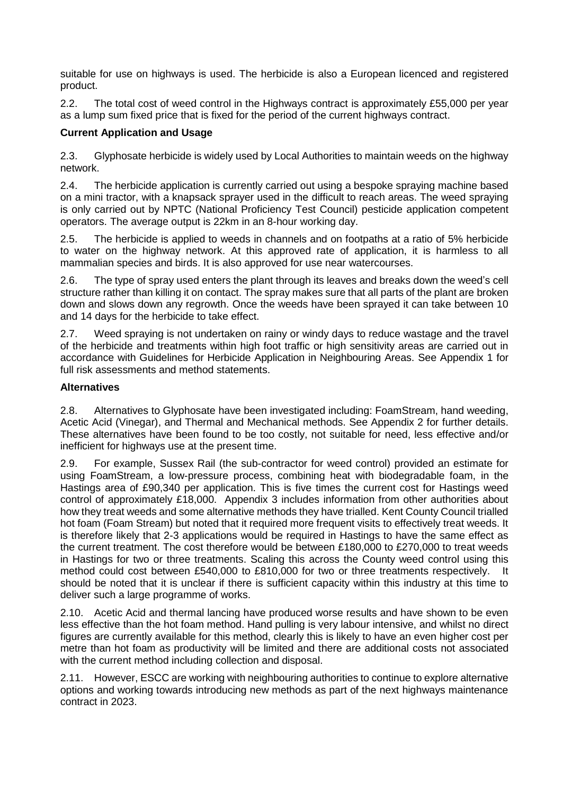suitable for use on highways is used. The herbicide is also a European licenced and registered product.

2.2. The total cost of weed control in the Highways contract is approximately £55,000 per year as a lump sum fixed price that is fixed for the period of the current highways contract.

# **Current Application and Usage**

2.3. Glyphosate herbicide is widely used by Local Authorities to maintain weeds on the highway network.

2.4. The herbicide application is currently carried out using a bespoke spraying machine based on a mini tractor, with a knapsack sprayer used in the difficult to reach areas. The weed spraying is only carried out by NPTC (National Proficiency Test Council) pesticide application competent operators. The average output is 22km in an 8-hour working day.

2.5. The herbicide is applied to weeds in channels and on footpaths at a ratio of 5% herbicide to water on the highway network. At this approved rate of application, it is harmless to all mammalian species and birds. It is also approved for use near watercourses.

2.6. The type of spray used enters the plant through its leaves and breaks down the weed's cell structure rather than killing it on contact. The spray makes sure that all parts of the plant are broken down and slows down any regrowth. Once the weeds have been sprayed it can take between 10 and 14 days for the herbicide to take effect.

2.7. Weed spraying is not undertaken on rainy or windy days to reduce wastage and the travel of the herbicide and treatments within high foot traffic or high sensitivity areas are carried out in accordance with Guidelines for Herbicide Application in Neighbouring Areas. See Appendix 1 for full risk assessments and method statements.

## **Alternatives**

2.8. Alternatives to Glyphosate have been investigated including: FoamStream, hand weeding, Acetic Acid (Vinegar), and Thermal and Mechanical methods. See Appendix 2 for further details. These alternatives have been found to be too costly, not suitable for need, less effective and/or inefficient for highways use at the present time.

2.9. For example, Sussex Rail (the sub-contractor for weed control) provided an estimate for using FoamStream, a low-pressure process, combining heat with biodegradable foam, in the Hastings area of £90,340 per application. This is five times the current cost for Hastings weed control of approximately £18,000. Appendix 3 includes information from other authorities about how they treat weeds and some alternative methods they have trialled. Kent County Council trialled hot foam (Foam Stream) but noted that it required more frequent visits to effectively treat weeds. It is therefore likely that 2-3 applications would be required in Hastings to have the same effect as the current treatment. The cost therefore would be between £180,000 to £270,000 to treat weeds in Hastings for two or three treatments. Scaling this across the County weed control using this method could cost between £540,000 to £810,000 for two or three treatments respectively. It should be noted that it is unclear if there is sufficient capacity within this industry at this time to deliver such a large programme of works.

2.10. Acetic Acid and thermal lancing have produced worse results and have shown to be even less effective than the hot foam method. Hand pulling is very labour intensive, and whilst no direct figures are currently available for this method, clearly this is likely to have an even higher cost per metre than hot foam as productivity will be limited and there are additional costs not associated with the current method including collection and disposal.

2.11. However, ESCC are working with neighbouring authorities to continue to explore alternative options and working towards introducing new methods as part of the next highways maintenance contract in 2023.